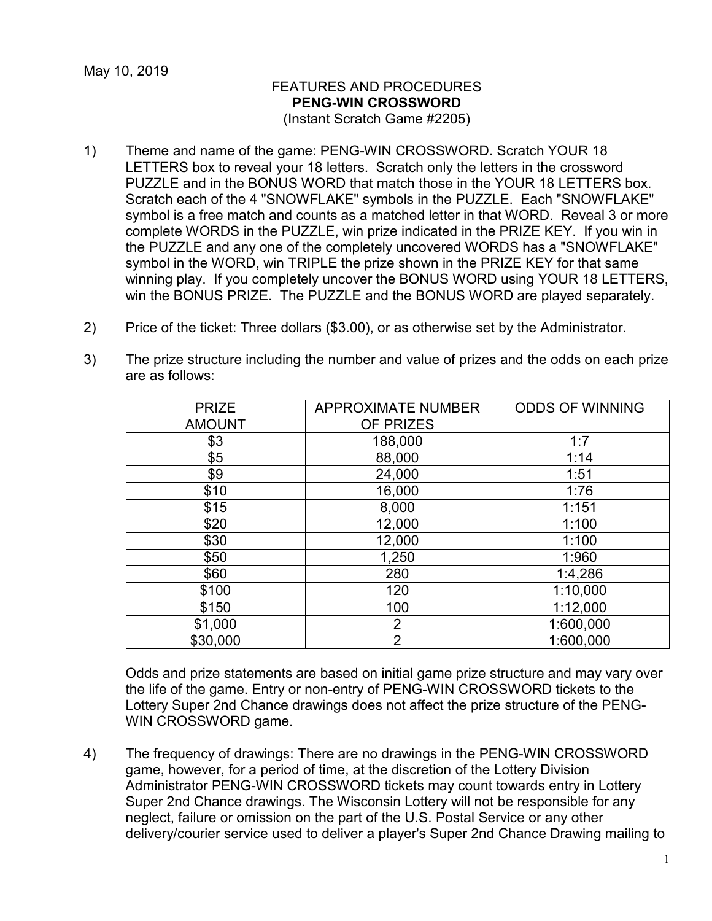## FEATURES AND PROCEDURES **PENG-WIN CROSSWORD** (Instant Scratch Game #2205)

- 1) Theme and name of the game: PENG-WIN CROSSWORD. Scratch YOUR 18 LETTERS box to reveal your 18 letters. Scratch only the letters in the crossword PUZZLE and in the BONUS WORD that match those in the YOUR 18 LETTERS box. Scratch each of the 4 "SNOWFLAKE" symbols in the PUZZLE. Each "SNOWFLAKE" symbol is a free match and counts as a matched letter in that WORD. Reveal 3 or more complete WORDS in the PUZZLE, win prize indicated in the PRIZE KEY. If you win in the PUZZLE and any one of the completely uncovered WORDS has a "SNOWFLAKE" symbol in the WORD, win TRIPLE the prize shown in the PRIZE KEY for that same winning play. If you completely uncover the BONUS WORD using YOUR 18 LETTERS, win the BONUS PRIZE. The PUZZLE and the BONUS WORD are played separately.
- 2) Price of the ticket: Three dollars (\$3.00), or as otherwise set by the Administrator.
- 3) The prize structure including the number and value of prizes and the odds on each prize are as follows:

| <b>PRIZE</b>  | <b>APPROXIMATE NUMBER</b> | <b>ODDS OF WINNING</b> |
|---------------|---------------------------|------------------------|
| <b>AMOUNT</b> | OF PRIZES                 |                        |
| \$3           | 188,000                   | 1:7                    |
| \$5           | 88,000                    | 1:14                   |
| \$9           | 24,000                    | 1:51                   |
| \$10          | 16,000                    | 1:76                   |
| \$15          | 8,000                     | 1:151                  |
| \$20          | 12,000                    | 1:100                  |
| \$30          | 12,000                    | 1:100                  |
| \$50          | 1,250                     | 1:960                  |
| \$60          | 280                       | 1:4,286                |
| \$100         | 120                       | 1:10,000               |
| \$150         | 100                       | 1:12,000               |
| \$1,000       | $\overline{2}$            | 1:600,000              |
| \$30,000      | $\overline{2}$            | 1:600,000              |

Odds and prize statements are based on initial game prize structure and may vary over the life of the game. Entry or non-entry of PENG-WIN CROSSWORD tickets to the Lottery Super 2nd Chance drawings does not affect the prize structure of the PENG-WIN CROSSWORD game.

4) The frequency of drawings: There are no drawings in the PENG-WIN CROSSWORD game, however, for a period of time, at the discretion of the Lottery Division Administrator PENG-WIN CROSSWORD tickets may count towards entry in Lottery Super 2nd Chance drawings. The Wisconsin Lottery will not be responsible for any neglect, failure or omission on the part of the U.S. Postal Service or any other delivery/courier service used to deliver a player's Super 2nd Chance Drawing mailing to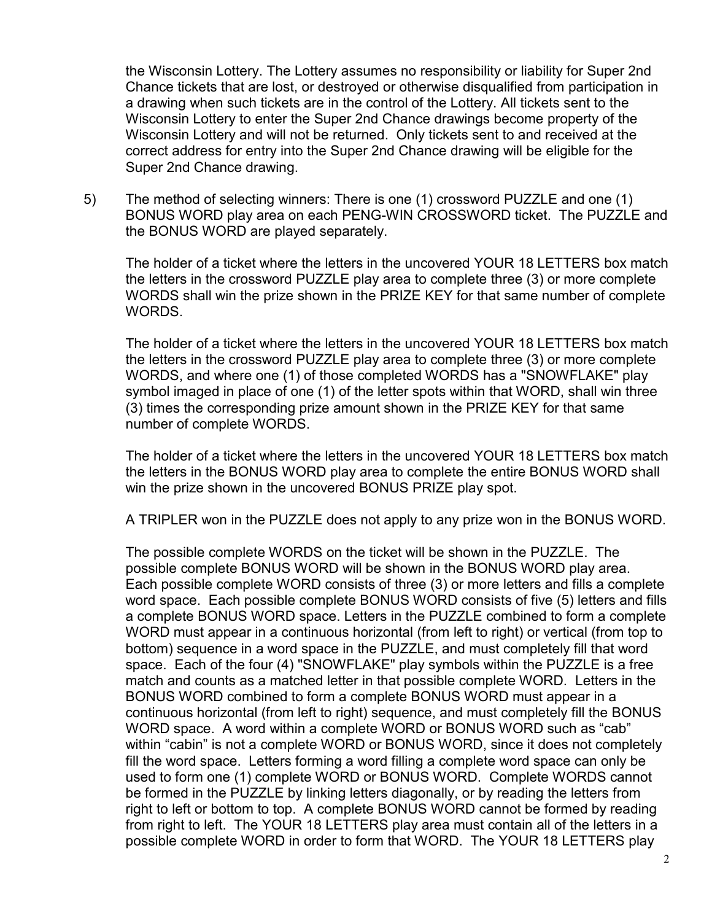the Wisconsin Lottery. The Lottery assumes no responsibility or liability for Super 2nd Chance tickets that are lost, or destroyed or otherwise disqualified from participation in a drawing when such tickets are in the control of the Lottery. All tickets sent to the Wisconsin Lottery to enter the Super 2nd Chance drawings become property of the Wisconsin Lottery and will not be returned. Only tickets sent to and received at the correct address for entry into the Super 2nd Chance drawing will be eligible for the Super 2nd Chance drawing.

5) The method of selecting winners: There is one (1) crossword PUZZLE and one (1) BONUS WORD play area on each PENG-WIN CROSSWORD ticket. The PUZZLE and the BONUS WORD are played separately.

The holder of a ticket where the letters in the uncovered YOUR 18 LETTERS box match the letters in the crossword PUZZLE play area to complete three (3) or more complete WORDS shall win the prize shown in the PRIZE KEY for that same number of complete WORDS.

The holder of a ticket where the letters in the uncovered YOUR 18 LETTERS box match the letters in the crossword PUZZLE play area to complete three (3) or more complete WORDS, and where one (1) of those completed WORDS has a "SNOWFLAKE" play symbol imaged in place of one (1) of the letter spots within that WORD, shall win three (3) times the corresponding prize amount shown in the PRIZE KEY for that same number of complete WORDS.

The holder of a ticket where the letters in the uncovered YOUR 18 LETTERS box match the letters in the BONUS WORD play area to complete the entire BONUS WORD shall win the prize shown in the uncovered BONUS PRIZE play spot.

A TRIPLER won in the PUZZLE does not apply to any prize won in the BONUS WORD.

The possible complete WORDS on the ticket will be shown in the PUZZLE. The possible complete BONUS WORD will be shown in the BONUS WORD play area. Each possible complete WORD consists of three (3) or more letters and fills a complete word space. Each possible complete BONUS WORD consists of five (5) letters and fills a complete BONUS WORD space. Letters in the PUZZLE combined to form a complete WORD must appear in a continuous horizontal (from left to right) or vertical (from top to bottom) sequence in a word space in the PUZZLE, and must completely fill that word space. Each of the four (4) "SNOWFLAKE" play symbols within the PUZZLE is a free match and counts as a matched letter in that possible complete WORD. Letters in the BONUS WORD combined to form a complete BONUS WORD must appear in a continuous horizontal (from left to right) sequence, and must completely fill the BONUS WORD space. A word within a complete WORD or BONUS WORD such as "cab" within "cabin" is not a complete WORD or BONUS WORD, since it does not completely fill the word space. Letters forming a word filling a complete word space can only be used to form one (1) complete WORD or BONUS WORD. Complete WORDS cannot be formed in the PUZZLE by linking letters diagonally, or by reading the letters from right to left or bottom to top. A complete BONUS WORD cannot be formed by reading from right to left. The YOUR 18 LETTERS play area must contain all of the letters in a possible complete WORD in order to form that WORD. The YOUR 18 LETTERS play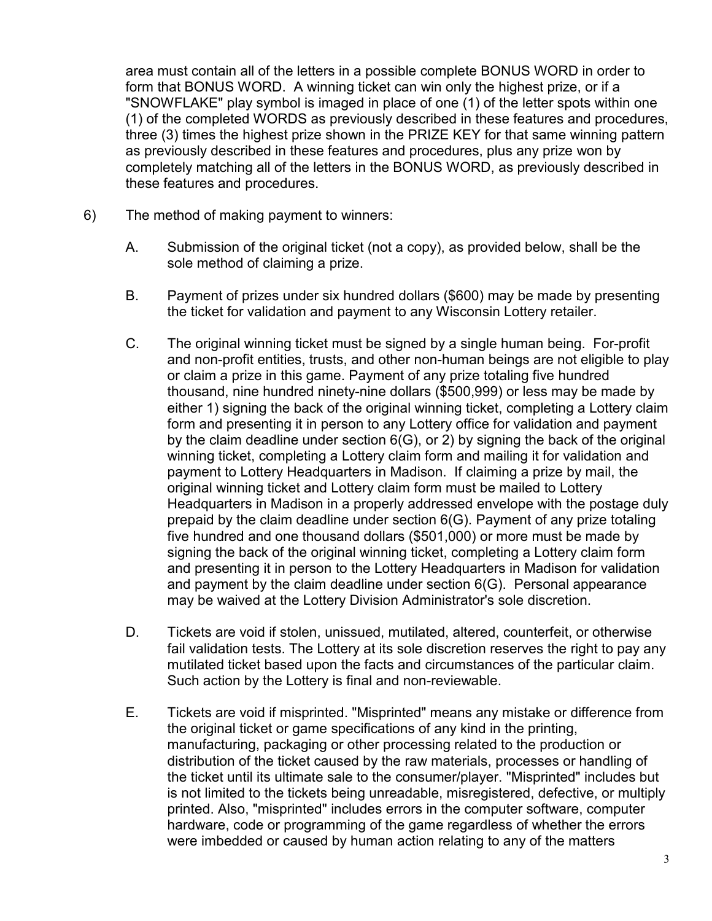area must contain all of the letters in a possible complete BONUS WORD in order to form that BONUS WORD. A winning ticket can win only the highest prize, or if a "SNOWFLAKE" play symbol is imaged in place of one (1) of the letter spots within one (1) of the completed WORDS as previously described in these features and procedures, three (3) times the highest prize shown in the PRIZE KEY for that same winning pattern as previously described in these features and procedures, plus any prize won by completely matching all of the letters in the BONUS WORD, as previously described in these features and procedures.

- 6) The method of making payment to winners:
	- A. Submission of the original ticket (not a copy), as provided below, shall be the sole method of claiming a prize.
	- B. Payment of prizes under six hundred dollars (\$600) may be made by presenting the ticket for validation and payment to any Wisconsin Lottery retailer.
	- C. The original winning ticket must be signed by a single human being. For-profit and non-profit entities, trusts, and other non-human beings are not eligible to play or claim a prize in this game. Payment of any prize totaling five hundred thousand, nine hundred ninety-nine dollars (\$500,999) or less may be made by either 1) signing the back of the original winning ticket, completing a Lottery claim form and presenting it in person to any Lottery office for validation and payment by the claim deadline under section 6(G), or 2) by signing the back of the original winning ticket, completing a Lottery claim form and mailing it for validation and payment to Lottery Headquarters in Madison. If claiming a prize by mail, the original winning ticket and Lottery claim form must be mailed to Lottery Headquarters in Madison in a properly addressed envelope with the postage duly prepaid by the claim deadline under section 6(G). Payment of any prize totaling five hundred and one thousand dollars (\$501,000) or more must be made by signing the back of the original winning ticket, completing a Lottery claim form and presenting it in person to the Lottery Headquarters in Madison for validation and payment by the claim deadline under section 6(G). Personal appearance may be waived at the Lottery Division Administrator's sole discretion.
	- D. Tickets are void if stolen, unissued, mutilated, altered, counterfeit, or otherwise fail validation tests. The Lottery at its sole discretion reserves the right to pay any mutilated ticket based upon the facts and circumstances of the particular claim. Such action by the Lottery is final and non-reviewable.
	- E. Tickets are void if misprinted. "Misprinted" means any mistake or difference from the original ticket or game specifications of any kind in the printing, manufacturing, packaging or other processing related to the production or distribution of the ticket caused by the raw materials, processes or handling of the ticket until its ultimate sale to the consumer/player. "Misprinted" includes but is not limited to the tickets being unreadable, misregistered, defective, or multiply printed. Also, "misprinted" includes errors in the computer software, computer hardware, code or programming of the game regardless of whether the errors were imbedded or caused by human action relating to any of the matters